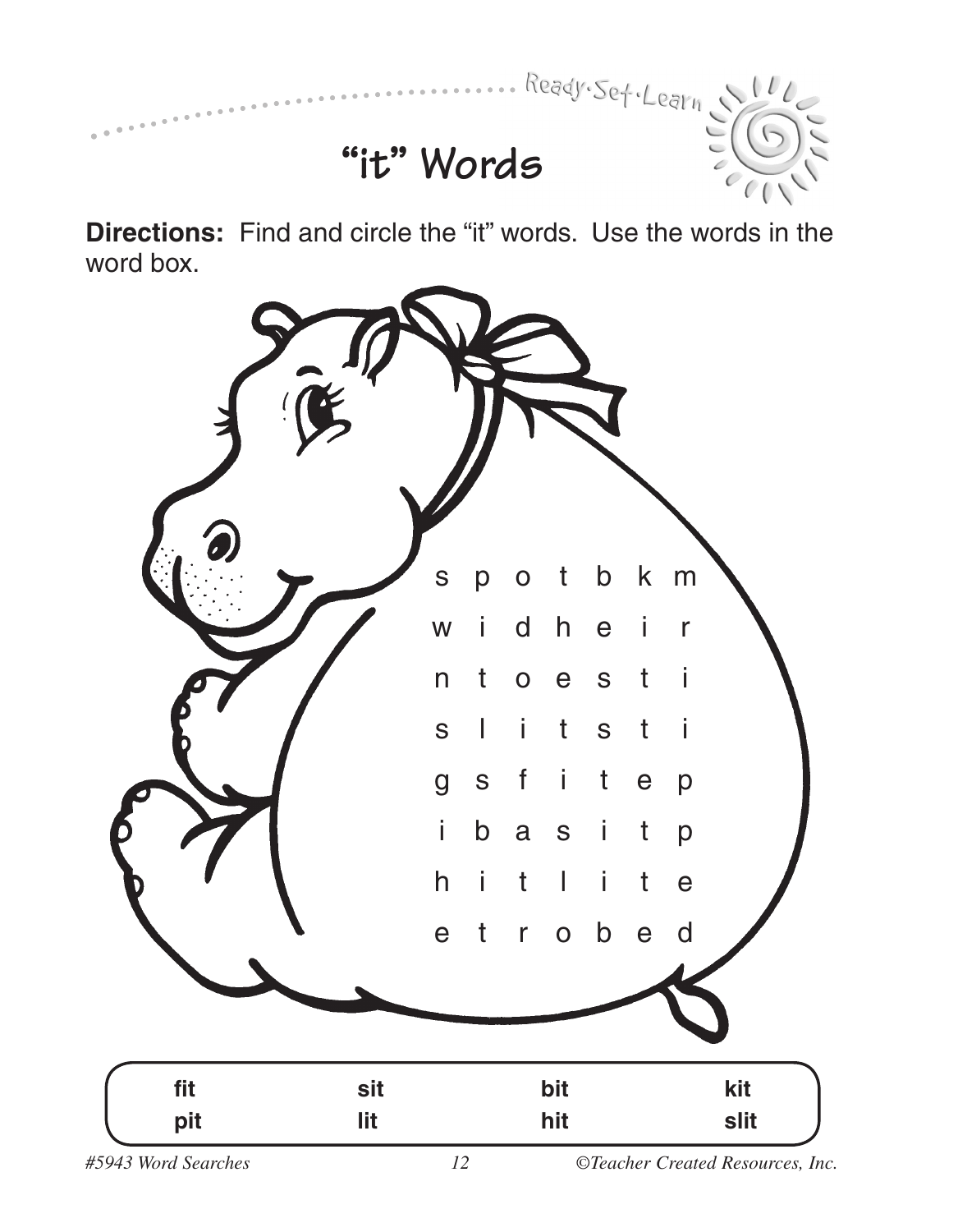

## • • • • • • • • • • • • • • • • • • • • • • • • • • • • • • • • • • • • • • • • • • • • • • • • • • • • • • • • • • • • • • • • • • • **"it" Words**

**Directions:** Find and circle the "it" words. Use the words in the word box.